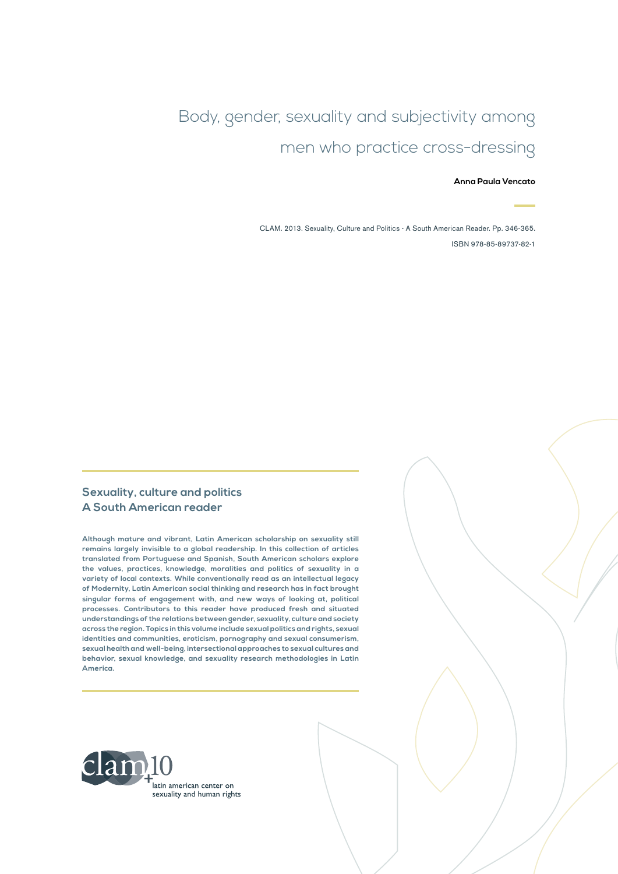# Body, gender, sexuality and subjectivity among men who practice cross-dressing

#### **Anna Paula Vencato**

CLAM. 2013. Sexuality, Culture and Politics - A South American Reader. Pp. 346-365. ISBN 978-85-89737-82-1

#### **Sexuality, culture and politics A South American reader**

**Although mature and vibrant, Latin American scholarship on sexuality still remains largely invisible to a global readership. In this collection of articles translated from Portuguese and Spanish, South American scholars explore the values, practices, knowledge, moralities and politics of sexuality in a variety of local contexts. While conventionally read as an intellectual legacy of Modernity, Latin American social thinking and research has in fact brought singular forms of engagement with, and new ways of looking at, political processes. Contributors to this reader have produced fresh and situated understandings of the relations between gender, sexuality, culture and society across the region. Topics in this volume include sexual politics and rights, sexual identities and communities, eroticism, pornography and sexual consumerism, sexual health and well-being, intersectional approaches to sexual cultures and behavior, sexual knowledge, and sexuality research methodologies in Latin America.**

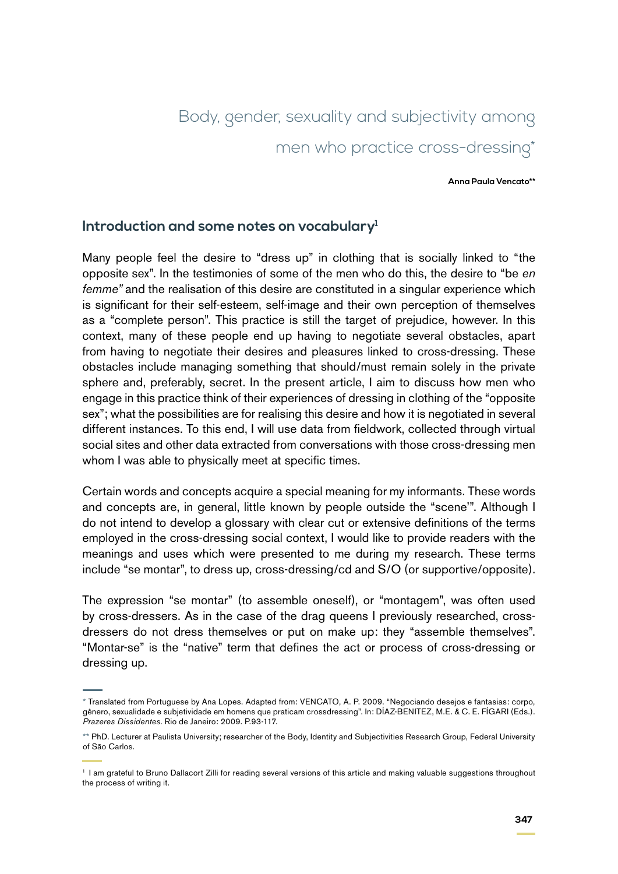# Body, gender, sexuality and subjectivity among men who practice cross-dressing\*

#### **Anna Paula Vencato\*\***

### **Introduction and some notes on vocabulary1**

Many people feel the desire to "dress up" in clothing that is socially linked to "the opposite sex". In the testimonies of some of the men who do this, the desire to "be *en femme"* and the realisation of this desire are constituted in a singular experience which is significant for their self-esteem, self-image and their own perception of themselves as a "complete person". This practice is still the target of prejudice, however. In this context, many of these people end up having to negotiate several obstacles, apart from having to negotiate their desires and pleasures linked to cross-dressing. These obstacles include managing something that should/must remain solely in the private sphere and, preferably, secret. In the present article, I aim to discuss how men who engage in this practice think of their experiences of dressing in clothing of the "opposite sex"; what the possibilities are for realising this desire and how it is negotiated in several different instances. To this end, I will use data from fieldwork, collected through virtual social sites and other data extracted from conversations with those cross-dressing men whom I was able to physically meet at specific times.

Certain words and concepts acquire a special meaning for my informants. These words and concepts are, in general, little known by people outside the "scene'". Although I do not intend to develop a glossary with clear cut or extensive definitions of the terms employed in the cross-dressing social context, I would like to provide readers with the meanings and uses which were presented to me during my research. These terms include "se montar", to dress up, cross-dressing/cd and S/O (or supportive/opposite).

The expression "se montar" (to assemble oneself), or "montagem", was often used by cross-dressers. As in the case of the drag queens I previously researched, crossdressers do not dress themselves or put on make up: they "assemble themselves". "Montar-se" is the "native" term that defines the act or process of cross-dressing or dressing up.

<sup>\*</sup> Translated from Portuguese by Ana Lopes. Adapted from: VENCATO, A. P. 2009. "Negociando desejos e fantasias: corpo, gênero, sexualidade e subjetividade em homens que praticam crossdressing". In: DÍAZ-BENITEZ, M.E. & C. E. FÍGARI (Eds.). *Prazeres Dissidentes*. Rio de Janeiro: 2009. P.93-117.

<sup>\*\*</sup> PhD. Lecturer at Paulista University; researcher of the Body, Identity and Subjectivities Research Group, Federal University of São Carlos.

<sup>1</sup> I am grateful to Bruno Dallacort Zilli for reading several versions of this article and making valuable suggestions throughout the process of writing it.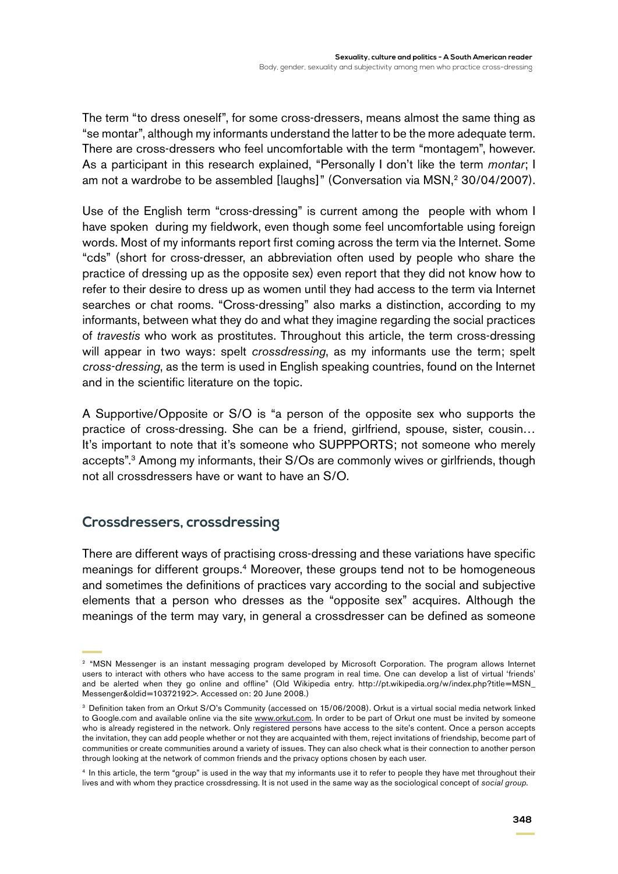The term "to dress oneself", for some cross-dressers, means almost the same thing as "se montar", although my informants understand the latter to be the more adequate term. There are cross-dressers who feel uncomfortable with the term "montagem", however. As a participant in this research explained, "Personally I don't like the term *montar*; I am not a wardrobe to be assembled [laughs]" (Conversation via MSN,<sup>2</sup> 30/04/2007).

Use of the English term "cross-dressing" is current among the people with whom I have spoken during my fieldwork, even though some feel uncomfortable using foreign words. Most of my informants report first coming across the term via the Internet. Some "cds" (short for cross-dresser, an abbreviation often used by people who share the practice of dressing up as the opposite sex) even report that they did not know how to refer to their desire to dress up as women until they had access to the term via Internet searches or chat rooms. "Cross-dressing" also marks a distinction, according to my informants, between what they do and what they imagine regarding the social practices of *travestis* who work as prostitutes. Throughout this article, the term cross-dressing will appear in two ways: spelt *crossdressing*, as my informants use the term; spelt *cross-dressing*, as the term is used in English speaking countries, found on the Internet and in the scientific literature on the topic.

A Supportive/Opposite or S/O is "a person of the opposite sex who supports the practice of cross-dressing. She can be a friend, girlfriend, spouse, sister, cousin… It's important to note that it's someone who SUPPPORTS; not someone who merely accepts".3 Among my informants, their S/Os are commonly wives or girlfriends, though not all crossdressers have or want to have an S/O.

# **Crossdressers, crossdressing**

There are different ways of practising cross-dressing and these variations have specific meanings for different groups.<sup>4</sup> Moreover, these groups tend not to be homogeneous and sometimes the definitions of practices vary according to the social and subjective elements that a person who dresses as the "opposite sex" acquires. Although the meanings of the term may vary, in general a crossdresser can be defined as someone

<sup>2</sup> "MSN Messenger is an instant messaging program developed by Microsoft Corporation. The program allows Internet users to interact with others who have access to the same program in real time. One can develop a list of virtual 'friends' and be alerted when they go online and offline" (Old Wikipedia entry. http://pt.wikipedia.org/w/index.php?title=MSN\_ Messenger&oldid=10372192>. Accessed on: 20 June 2008.)

<sup>3</sup> Definition taken from an Orkut S/O's Community (accessed on 15/06/2008). Orkut is a virtual social media network linked to Google.com and available online via the site [www.orkut.com](http://www.orkut.com/). In order to be part of Orkut one must be invited by someone who is already registered in the network. Only registered persons have access to the site's content. Once a person accepts the invitation, they can add people whether or not they are acquainted with them, reject invitations of friendship, become part of communities or create communities around a variety of issues. They can also check what is their connection to another person through looking at the network of common friends and the privacy options chosen by each user.

<sup>&</sup>lt;sup>4</sup> In this article, the term "group" is used in the way that my informants use it to refer to people they have met throughout their lives and with whom they practice crossdressing. It is not used in the same way as the sociological concept of *social group*.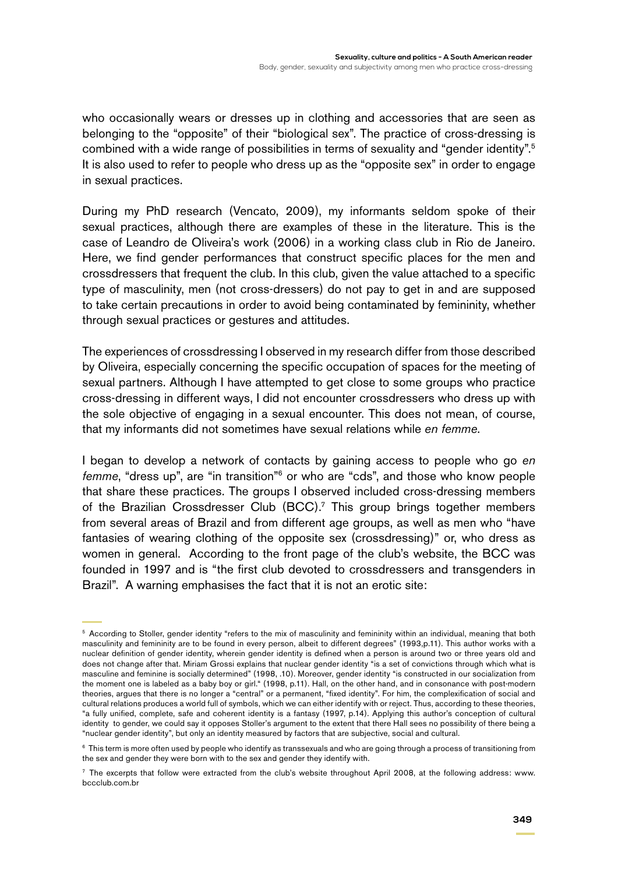who occasionally wears or dresses up in clothing and accessories that are seen as belonging to the "opposite" of their "biological sex". The practice of cross-dressing is combined with a wide range of possibilities in terms of sexuality and "gender identity".5 It is also used to refer to people who dress up as the "opposite sex" in order to engage in sexual practices.

During my PhD research (Vencato, 2009), my informants seldom spoke of their sexual practices, although there are examples of these in the literature. This is the case of Leandro de Oliveira's work (2006) in a working class club in Rio de Janeiro. Here, we find gender performances that construct specific places for the men and crossdressers that frequent the club. In this club, given the value attached to a specific type of masculinity, men (not cross-dressers) do not pay to get in and are supposed to take certain precautions in order to avoid being contaminated by femininity, whether through sexual practices or gestures and attitudes.

The experiences of crossdressing I observed in my research differ from those described by Oliveira, especially concerning the specific occupation of spaces for the meeting of sexual partners. Although I have attempted to get close to some groups who practice cross-dressing in different ways, I did not encounter crossdressers who dress up with the sole objective of engaging in a sexual encounter. This does not mean, of course, that my informants did not sometimes have sexual relations while *en femme*.

I began to develop a network of contacts by gaining access to people who go *en femme*, "dress up", are "in transition"6 or who are "cds", and those who know people that share these practices. The groups I observed included cross-dressing members of the Brazilian Crossdresser Club (BCC).7 This group brings together members from several areas of Brazil and from different age groups, as well as men who "have fantasies of wearing clothing of the opposite sex (crossdressing)" or, who dress as women in general. According to the front page of the club's website, the BCC was founded in 1997 and is "the first club devoted to crossdressers and transgenders in Brazil". A warning emphasises the fact that it is not an erotic site:

<sup>5</sup> According to Stoller, gender identity "refers to the mix of masculinity and femininity within an individual, meaning that both masculinity and femininity are to be found in every person, albeit to different degrees" (1993,p.11). This author works with a nuclear definition of gender identity, wherein gender identity is defined when a person is around two or three years old and does not change after that. Miriam Grossi explains that nuclear gender identity "is a set of convictions through which what is masculine and feminine is socially determined" (1998, .10). Moreover, gender identity "is constructed in our socialization from the moment one is labeled as a baby boy or girl." (1998, p.11). Hall, on the other hand, and in consonance with post-modern theories, argues that there is no longer a "central" or a permanent, "fixed identity". For him, the complexification of social and cultural relations produces a world full of symbols, which we can either identify with or reject. Thus, according to these theories, "a fully unified, complete, safe and coherent identity is a fantasy (1997, p.14). Applying this author's conception of cultural identity to gender, we could say it opposes Stoller's argument to the extent that there Hall sees no possibility of there being a "nuclear gender identity", but only an identity measured by factors that are subjective, social and cultural.

<sup>&</sup>lt;sup>6</sup> This term is more often used by people who identify as transsexuals and who are going through a process of transitioning from the sex and gender they were born with to the sex and gender they identify with.

<sup>7</sup> The excerpts that follow were extracted from the club's website throughout April 2008, at the following address: www. bccclub.com.br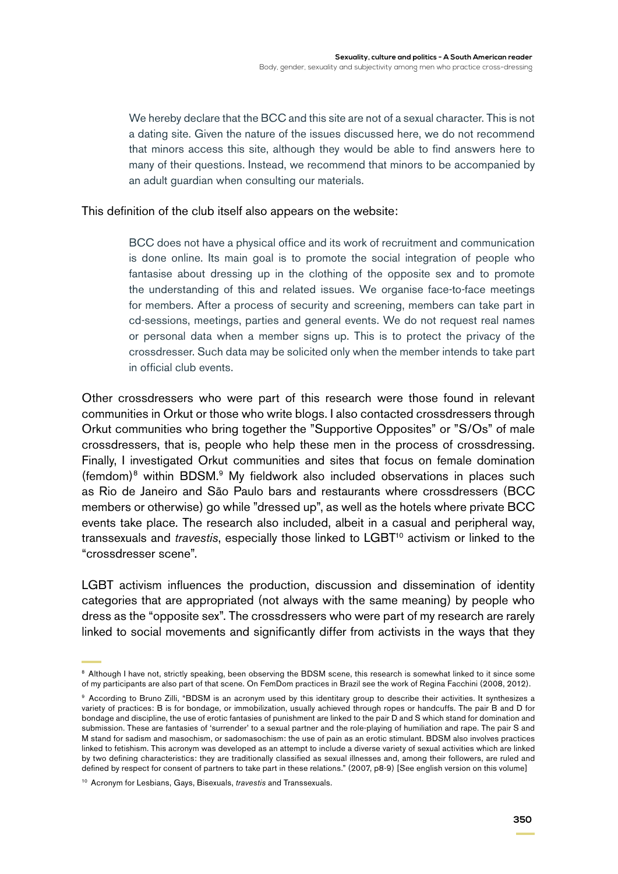We hereby declare that the BCC and this site are not of a sexual character. This is not a dating site. Given the nature of the issues discussed here, we do not recommend that minors access this site, although they would be able to find answers here to many of their questions. Instead, we recommend that minors to be accompanied by an adult guardian when consulting our materials.

This definition of the club itself also appears on the website:

BCC does not have a physical office and its work of recruitment and communication is done online. Its main goal is to promote the social integration of people who fantasise about dressing up in the clothing of the opposite sex and to promote the understanding of this and related issues. We organise face-to-face meetings for members. After a process of security and screening, members can take part in cd-sessions, meetings, parties and general events. We do not request real names or personal data when a member signs up. This is to protect the privacy of the crossdresser. Such data may be solicited only when the member intends to take part in official club events.

Other crossdressers who were part of this research were those found in relevant communities in Orkut or those who write blogs. I also contacted crossdressers through Orkut communities who bring together the "Supportive Opposites" or "S/Os" of male crossdressers, that is, people who help these men in the process of crossdressing. Finally, I investigated Orkut communities and sites that focus on female domination (femdom)<sup>8</sup> within BDSM.<sup>9</sup> My fieldwork also included observations in places such as Rio de Janeiro and São Paulo bars and restaurants where crossdressers (BCC members or otherwise) go while "dressed up", as well as the hotels where private BCC events take place. The research also included, albeit in a casual and peripheral way, transsexuals and *travestis*, especially those linked to LGBT10 activism or linked to the "crossdresser scene".

LGBT activism influences the production, discussion and dissemination of identity categories that are appropriated (not always with the same meaning) by people who dress as the "opposite sex". The crossdressers who were part of my research are rarely linked to social movements and significantly differ from activists in the ways that they

<sup>&</sup>lt;sup>8</sup> Although I have not, strictly speaking, been observing the BDSM scene, this research is somewhat linked to it since some of my participants are also part of that scene. On FemDom practices in Brazil see the work of Regina Facchini (2008, 2012).

<sup>9</sup> According to Bruno Zilli, "BDSM is an acronym used by this identitary group to describe their activities. It synthesizes a variety of practices: B is for bondage, or immobilization, usually achieved through ropes or handcuffs. The pair B and D for bondage and discipline, the use of erotic fantasies of punishment are linked to the pair D and S which stand for domination and submission. These are fantasies of 'surrender' to a sexual partner and the role-playing of humiliation and rape. The pair S and M stand for sadism and masochism, or sadomasochism: the use of pain as an erotic stimulant. BDSM also involves practices linked to fetishism. This acronym was developed as an attempt to include a diverse variety of sexual activities which are linked by two defining characteristics: they are traditionally classified as sexual illnesses and, among their followers, are ruled and defined by respect for consent of partners to take part in these relations." (2007, p8-9) [See english version on this volume]

<sup>10</sup> Acronym for Lesbians, Gays, Bisexuals, *travestis* and Transsexuals.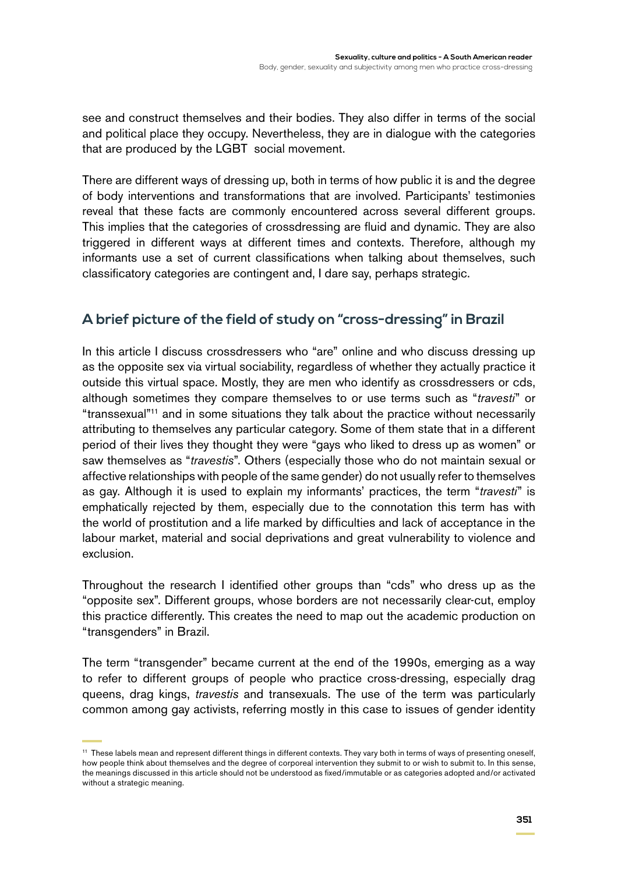see and construct themselves and their bodies. They also differ in terms of the social and political place they occupy. Nevertheless, they are in dialogue with the categories that are produced by the LGBT social movement.

There are different ways of dressing up, both in terms of how public it is and the degree of body interventions and transformations that are involved. Participants' testimonies reveal that these facts are commonly encountered across several different groups. This implies that the categories of crossdressing are fluid and dynamic. They are also triggered in different ways at different times and contexts. Therefore, although my informants use a set of current classifications when talking about themselves, such classificatory categories are contingent and, I dare say, perhaps strategic.

# **A brief picture of the field of study on "cross-dressing" in Brazil**

In this article I discuss crossdressers who "are" online and who discuss dressing up as the opposite sex via virtual sociability, regardless of whether they actually practice it outside this virtual space. Mostly, they are men who identify as crossdressers or cds, although sometimes they compare themselves to or use terms such as "*travesti*" or "transsexual"11 and in some situations they talk about the practice without necessarily attributing to themselves any particular category. Some of them state that in a different period of their lives they thought they were "gays who liked to dress up as women" or saw themselves as "*travestis*". Others (especially those who do not maintain sexual or affective relationships with people of the same gender) do not usually refer to themselves as gay. Although it is used to explain my informants' practices, the term "*travesti*" is emphatically rejected by them, especially due to the connotation this term has with the world of prostitution and a life marked by difficulties and lack of acceptance in the labour market, material and social deprivations and great vulnerability to violence and exclusion.

Throughout the research I identified other groups than "cds" who dress up as the "opposite sex". Different groups, whose borders are not necessarily clear-cut, employ this practice differently. This creates the need to map out the academic production on "transgenders" in Brazil.

The term "transgender" became current at the end of the 1990s, emerging as a way to refer to different groups of people who practice cross-dressing, especially drag queens, drag kings, *travestis* and transexuals. The use of the term was particularly common among gay activists, referring mostly in this case to issues of gender identity

<sup>11</sup> These labels mean and represent different things in different contexts. They vary both in terms of ways of presenting oneself, how people think about themselves and the degree of corporeal intervention they submit to or wish to submit to. In this sense, the meanings discussed in this article should not be understood as fixed/immutable or as categories adopted and/or activated without a strategic meaning.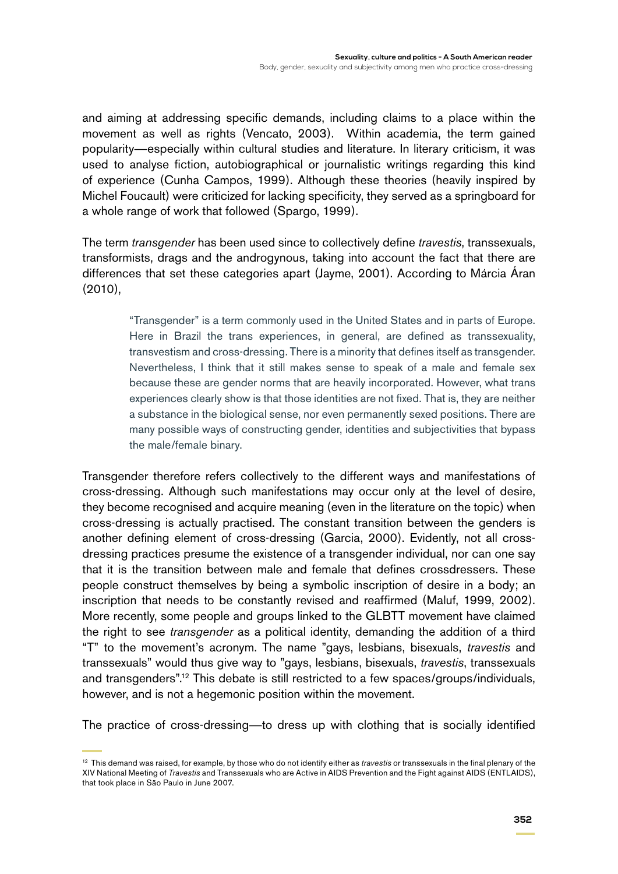and aiming at addressing specific demands, including claims to a place within the movement as well as rights (Vencato, 2003). Within academia, the term gained popularity—especially within cultural studies and literature. In literary criticism, it was used to analyse fiction, autobiographical or journalistic writings regarding this kind of experience (Cunha Campos, 1999). Although these theories (heavily inspired by Michel Foucault) were criticized for lacking specificity, they served as a springboard for a whole range of work that followed (Spargo, 1999).

The term *transgender* has been used since to collectively define *travestis*, transsexuals, transformists, drags and the androgynous, taking into account the fact that there are differences that set these categories apart (Jayme, 2001). According to Márcia Áran (2010),

> "Transgender" is a term commonly used in the United States and in parts of Europe. Here in Brazil the trans experiences, in general, are defined as transsexuality, transvestism and cross-dressing. There is a minority that defines itself as transgender. Nevertheless, I think that it still makes sense to speak of a male and female sex because these are gender norms that are heavily incorporated. However, what trans experiences clearly show is that those identities are not fixed. That is, they are neither a substance in the biological sense, nor even permanently sexed positions. There are many possible ways of constructing gender, identities and subjectivities that bypass the male/female binary.

Transgender therefore refers collectively to the different ways and manifestations of cross-dressing. Although such manifestations may occur only at the level of desire, they become recognised and acquire meaning (even in the literature on the topic) when cross-dressing is actually practised. The constant transition between the genders is another defining element of cross-dressing (Garcia, 2000). Evidently, not all crossdressing practices presume the existence of a transgender individual, nor can one say that it is the transition between male and female that defines crossdressers. These people construct themselves by being a symbolic inscription of desire in a body; an inscription that needs to be constantly revised and reaffirmed (Maluf, 1999, 2002). More recently, some people and groups linked to the GLBTT movement have claimed the right to see *transgender* as a political identity, demanding the addition of a third "T" to the movement's acronym. The name "gays, lesbians, bisexuals, *travestis* and transsexuals" would thus give way to "gays, lesbians, bisexuals, *travestis*, transsexuals and transgenders".12 This debate is still restricted to a few spaces/groups/individuals, however, and is not a hegemonic position within the movement.

The practice of cross-dressing—to dress up with clothing that is socially identified

<sup>12</sup> This demand was raised, for example, by those who do not identify either as *travestis* or transsexuals in the final plenary of the XIV National Meeting of *Travestis* and Transsexuals who are Active in AIDS Prevention and the Fight against AIDS (ENTLAIDS), that took place in São Paulo in June 2007.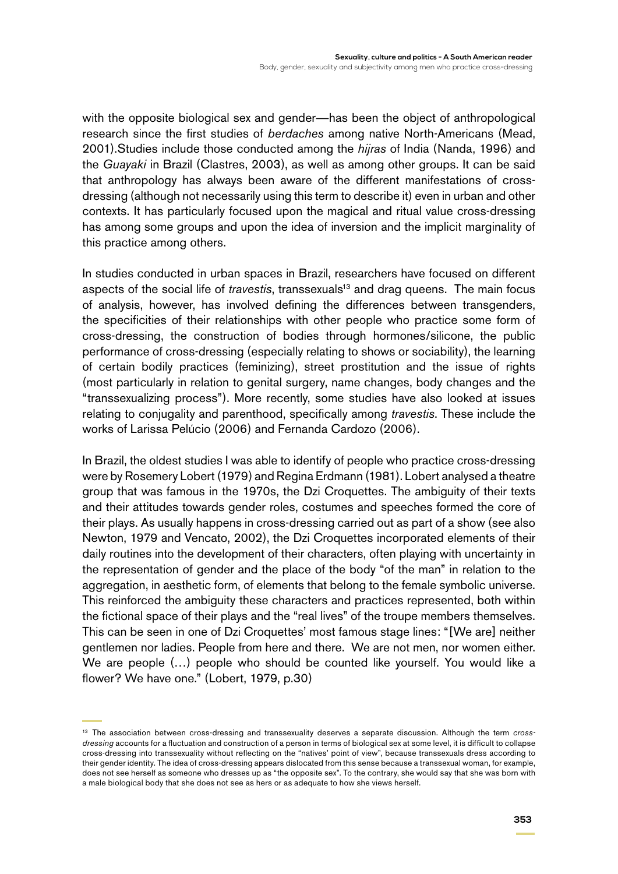with the opposite biological sex and gender—has been the object of anthropological research since the first studies of *berdaches* among native North-Americans (Mead, 2001).Studies include those conducted among the *hijras* of India (Nanda, 1996) and the *Guayaki* in Brazil (Clastres, 2003), as well as among other groups. It can be said that anthropology has always been aware of the different manifestations of crossdressing (although not necessarily using this term to describe it) even in urban and other contexts. It has particularly focused upon the magical and ritual value cross-dressing has among some groups and upon the idea of inversion and the implicit marginality of this practice among others.

In studies conducted in urban spaces in Brazil, researchers have focused on different aspects of the social life of *travestis*, transsexuals<sup>13</sup> and drag queens. The main focus of analysis, however, has involved defining the differences between transgenders, the specificities of their relationships with other people who practice some form of cross-dressing, the construction of bodies through hormones/silicone, the public performance of cross-dressing (especially relating to shows or sociability), the learning of certain bodily practices (feminizing), street prostitution and the issue of rights (most particularly in relation to genital surgery, name changes, body changes and the "transsexualizing process"). More recently, some studies have also looked at issues relating to conjugality and parenthood, specifically among *travestis*. These include the works of Larissa Pelúcio (2006) and Fernanda Cardozo (2006).

In Brazil, the oldest studies I was able to identify of people who practice cross-dressing were by Rosemery Lobert (1979) and Regina Erdmann (1981). Lobert analysed a theatre group that was famous in the 1970s, the Dzi Croquettes. The ambiguity of their texts and their attitudes towards gender roles, costumes and speeches formed the core of their plays. As usually happens in cross-dressing carried out as part of a show (see also Newton, 1979 and Vencato, 2002), the Dzi Croquettes incorporated elements of their daily routines into the development of their characters, often playing with uncertainty in the representation of gender and the place of the body "of the man" in relation to the aggregation, in aesthetic form, of elements that belong to the female symbolic universe. This reinforced the ambiguity these characters and practices represented, both within the fictional space of their plays and the "real lives" of the troupe members themselves. This can be seen in one of Dzi Croquettes' most famous stage lines: "[We are] neither gentlemen nor ladies. People from here and there. We are not men, nor women either. We are people (…) people who should be counted like yourself. You would like a flower? We have one." (Lobert, 1979, p.30)

<sup>13</sup> The association between cross-dressing and transsexuality deserves a separate discussion. Although the term *crossdressing* accounts for a fluctuation and construction of a person in terms of biological sex at some level, it is difficult to collapse cross-dressing into transsexuality without reflecting on the "natives' point of view", because transsexuals dress according to their gender identity. The idea of cross-dressing appears dislocated from this sense because a transsexual woman, for example, does not see herself as someone who dresses up as "the opposite sex". To the contrary, she would say that she was born with a male biological body that she does not see as hers or as adequate to how she views herself.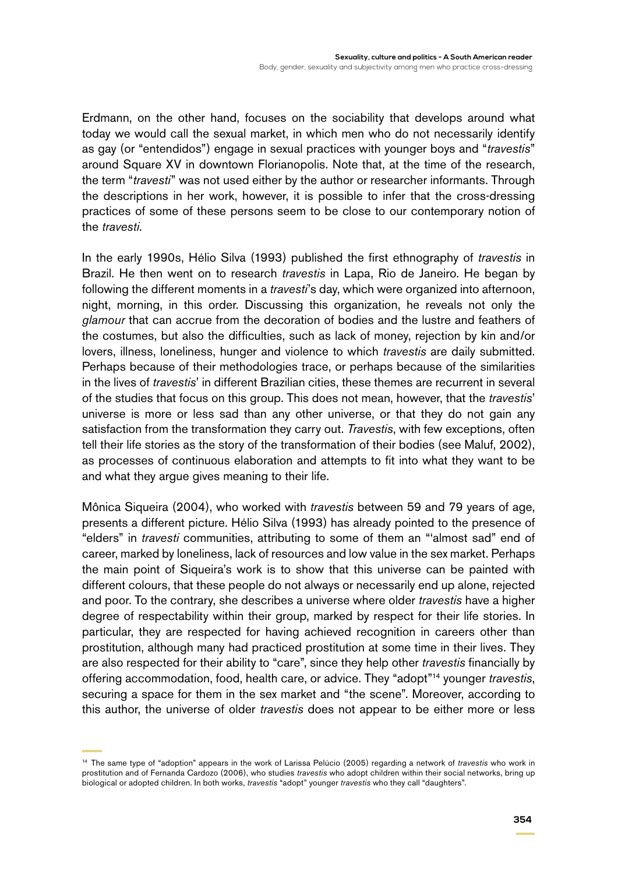Erdmann, on the other hand, focuses on the sociability that develops around what today we would call the sexual market, in which men who do not necessarily identify as gay (or "entendidos") engage in sexual practices with younger boys and "*travestis*" around Square XV in downtown Florianopolis. Note that, at the time of the research, the term "*travesti*" was not used either by the author or researcher informants. Through the descriptions in her work, however, it is possible to infer that the cross-dressing practices of some of these persons seem to be close to our contemporary notion of the *travesti*.

In the early 1990s, Hélio Silva (1993) published the first ethnography of *travestis* in Brazil. He then went on to research *travestis* in Lapa, Rio de Janeiro. He began by following the different moments in a *travesti*'s day, which were organized into afternoon, night, morning, in this order. Discussing this organization, he reveals not only the *glamour* that can accrue from the decoration of bodies and the lustre and feathers of the costumes, but also the difficulties, such as lack of money, rejection by kin and/or lovers, illness, loneliness, hunger and violence to which *travestis* are daily submitted. Perhaps because of their methodologies trace, or perhaps because of the similarities in the lives of *travestis*' in different Brazilian cities, these themes are recurrent in several of the studies that focus on this group. This does not mean, however, that the *travestis*' universe is more or less sad than any other universe, or that they do not gain any satisfaction from the transformation they carry out. *Travestis*, with few exceptions, often tell their life stories as the story of the transformation of their bodies (see Maluf, 2002), as processes of continuous elaboration and attempts to fit into what they want to be and what they argue gives meaning to their life.

Mônica Siqueira (2004), who worked with *travestis* between 59 and 79 years of age, presents a different picture. Hélio Silva (1993) has already pointed to the presence of "elders" in *travesti* communities, attributing to some of them an "'almost sad" end of career, marked by loneliness, lack of resources and low value in the sex market. Perhaps the main point of Siqueira's work is to show that this universe can be painted with different colours, that these people do not always or necessarily end up alone, rejected and poor. To the contrary, she describes a universe where older *travestis* have a higher degree of respectability within their group, marked by respect for their life stories. In particular, they are respected for having achieved recognition in careers other than prostitution, although many had practiced prostitution at some time in their lives. They are also respected for their ability to "care", since they help other *travestis* financially by offering accommodation, food, health care, or advice. They "adopt"14 younger *travestis*, securing a space for them in the sex market and "the scene". Moreover, according to this author, the universe of older *travestis* does not appear to be either more or less

<sup>14</sup> The same type of "adoption" appears in the work of Larissa Pelúcio (2005) regarding a network of *travestis* who work in prostitution and of Fernanda Cardozo (2006), who studies *travestis* who adopt children within their social networks, bring up biological or adopted children. In both works, *travestis* "adopt" younger *travestis* who they call "daughters".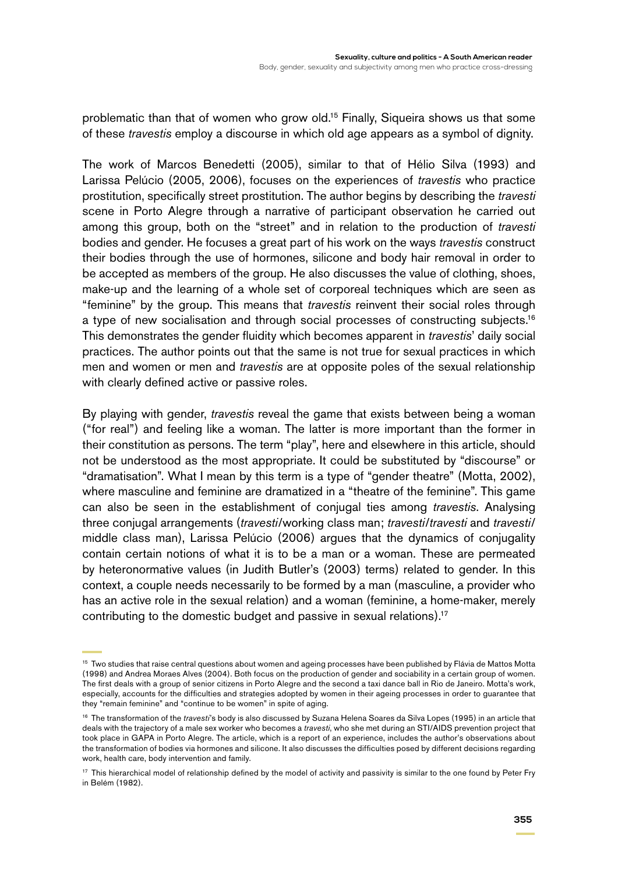problematic than that of women who grow old.15 Finally, Siqueira shows us that some of these *travestis* employ a discourse in which old age appears as a symbol of dignity.

The work of Marcos Benedetti (2005), similar to that of Hélio Silva (1993) and Larissa Pelúcio (2005, 2006), focuses on the experiences of *travestis* who practice prostitution, specifically street prostitution. The author begins by describing the *travesti* scene in Porto Alegre through a narrative of participant observation he carried out among this group, both on the "street" and in relation to the production of *travesti* bodies and gender. He focuses a great part of his work on the ways *travestis* construct their bodies through the use of hormones, silicone and body hair removal in order to be accepted as members of the group. He also discusses the value of clothing, shoes, make-up and the learning of a whole set of corporeal techniques which are seen as "feminine" by the group. This means that *travestis* reinvent their social roles through a type of new socialisation and through social processes of constructing subjects.<sup>16</sup> This demonstrates the gender fluidity which becomes apparent in *travestis*' daily social practices. The author points out that the same is not true for sexual practices in which men and women or men and *travestis* are at opposite poles of the sexual relationship with clearly defined active or passive roles.

By playing with gender, *travestis* reveal the game that exists between being a woman ("for real") and feeling like a woman. The latter is more important than the former in their constitution as persons. The term "play", here and elsewhere in this article, should not be understood as the most appropriate. It could be substituted by "discourse" or "dramatisation". What I mean by this term is a type of "gender theatre" (Motta, 2002), where masculine and feminine are dramatized in a "theatre of the feminine". This game can also be seen in the establishment of conjugal ties among *travestis*. Analysing three conjugal arrangements (*travesti*/working class man; *travesti*/*travesti* and *travesti*/ middle class man), Larissa Pelúcio (2006) argues that the dynamics of conjugality contain certain notions of what it is to be a man or a woman. These are permeated by heteronormative values (in Judith Butler's (2003) terms) related to gender. In this context, a couple needs necessarily to be formed by a man (masculine, a provider who has an active role in the sexual relation) and a woman (feminine, a home-maker, merely contributing to the domestic budget and passive in sexual relations).17

<sup>&</sup>lt;sup>15</sup> Two studies that raise central questions about women and ageing processes have been published by Flávia de Mattos Motta (1998) and Andrea Moraes Alves (2004). Both focus on the production of gender and sociability in a certain group of women. The first deals with a group of senior citizens in Porto Alegre and the second a taxi dance ball in Rio de Janeiro. Motta's work, especially, accounts for the difficulties and strategies adopted by women in their ageing processes in order to guarantee that they "remain feminine" and "continue to be women" in spite of aging.

<sup>16</sup> The transformation of the *travesti*'s body is also discussed by Suzana Helena Soares da Silva Lopes (1995) in an article that deals with the trajectory of a male sex worker who becomes a *travesti*, who she met during an STI/AIDS prevention project that took place in GAPA in Porto Alegre. The article, which is a report of an experience, includes the author's observations about the transformation of bodies via hormones and silicone. It also discusses the difficulties posed by different decisions regarding work, health care, body intervention and family.

<sup>&</sup>lt;sup>17</sup> This hierarchical model of relationship defined by the model of activity and passivity is similar to the one found by Peter Fry in Belém (1982).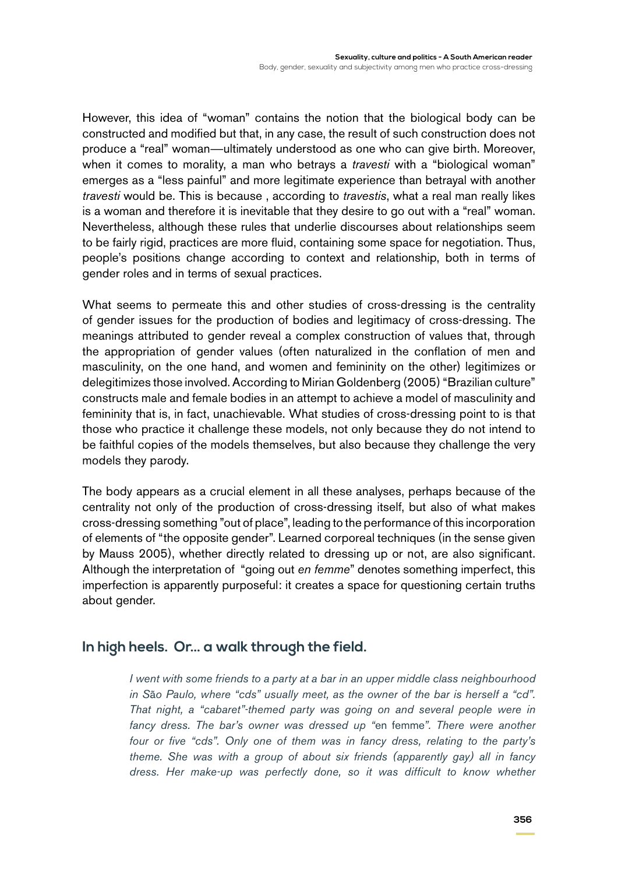However, this idea of "woman" contains the notion that the biological body can be constructed and modified but that, in any case, the result of such construction does not produce a "real" woman—ultimately understood as one who can give birth. Moreover, when it comes to morality, a man who betrays a *travesti* with a "biological woman" emerges as a "less painful" and more legitimate experience than betrayal with another *travesti* would be. This is because , according to *travestis*, what a real man really likes is a woman and therefore it is inevitable that they desire to go out with a "real" woman. Nevertheless, although these rules that underlie discourses about relationships seem to be fairly rigid, practices are more fluid, containing some space for negotiation. Thus, people's positions change according to context and relationship, both in terms of gender roles and in terms of sexual practices.

What seems to permeate this and other studies of cross-dressing is the centrality of gender issues for the production of bodies and legitimacy of cross-dressing. The meanings attributed to gender reveal a complex construction of values that, through the appropriation of gender values (often naturalized in the conflation of men and masculinity, on the one hand, and women and femininity on the other) legitimizes or delegitimizes those involved. According to Mirian Goldenberg (2005) "Brazilian culture" constructs male and female bodies in an attempt to achieve a model of masculinity and femininity that is, in fact, unachievable. What studies of cross-dressing point to is that those who practice it challenge these models, not only because they do not intend to be faithful copies of the models themselves, but also because they challenge the very models they parody.

The body appears as a crucial element in all these analyses, perhaps because of the centrality not only of the production of cross-dressing itself, but also of what makes cross-dressing something "out of place", leading to the performance of this incorporation of elements of "the opposite gender". Learned corporeal techniques (in the sense given by Mauss 2005), whether directly related to dressing up or not, are also significant. Although the interpretation of "going out *en femme*" denotes something imperfect, this imperfection is apparently purposeful: it creates a space for questioning certain truths about gender.

## **In high heels. Or… a walk through the field.**

*I went with some friends to a party at a bar in an upper middle class neighbourhood in S*ã*o Paulo, where "cds" usually meet, as the owner of the bar is herself a "cd". That night, a "cabaret"-themed party was going on and several people were in fancy dress. The bar's owner was dressed up "*en femme*". There were another four or five "cds". Only one of them was in fancy dress, relating to the party's theme. She was with a group of about six friends (apparently gay) all in fancy*  dress. Her make-up was perfectly done, so it was difficult to know whether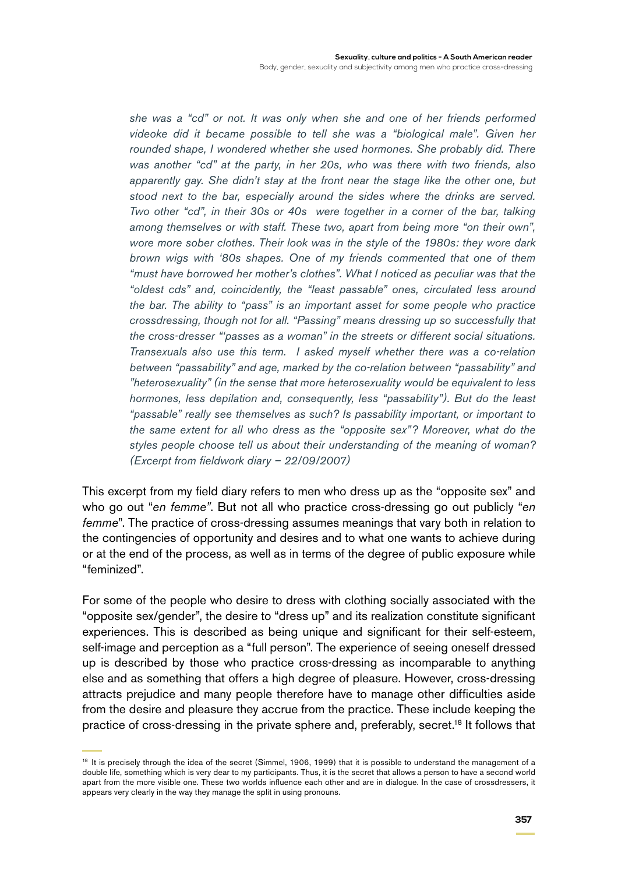*she was a "cd" or not. It was only when she and one of her friends performed videoke did it became possible to tell she was a "biological male". Given her rounded shape, I wondered whether she used hormones. She probably did. There was another "cd" at the party, in her 20s, who was there with two friends, also apparently gay. She didn't stay at the front near the stage like the other one, but stood next to the bar, especially around the sides where the drinks are served. Two other "cd", in their 30s or 40s were together in a corner of the bar, talking among themselves or with staff. These two, apart from being more "on their own", wore more sober clothes. Their look was in the style of the 1980s: they wore dark brown wigs with '80s shapes. One of my friends commented that one of them "must have borrowed her mother's clothes". What I noticed as peculiar was that the "oldest cds" and, coincidently, the "least passable" ones, circulated less around the bar. The ability to "pass" is an important asset for some people who practice crossdressing, though not for all. "Passing" means dressing up so successfully that the cross-dresser "'passes as a woman" in the streets or different social situations. Transexuals also use this term. I asked myself whether there was a co-relation between "passability" and age, marked by the co-relation between "passability" and "heterosexuality" (in the sense that more heterosexuality would be equivalent to less hormones, less depilation and, consequently, less "passability"). But do the least "passable" really see themselves as such? Is passability important, or important to the same extent for all who dress as the "opposite sex"? Moreover, what do the styles people choose tell us about their understanding of the meaning of woman? (Excerpt from fieldwork diary – 22/09/2007)*

This excerpt from my field diary refers to men who dress up as the "opposite sex" and who go out "*en femme"*. But not all who practice cross-dressing go out publicly "*en femme*". The practice of cross-dressing assumes meanings that vary both in relation to the contingencies of opportunity and desires and to what one wants to achieve during or at the end of the process, as well as in terms of the degree of public exposure while "feminized".

For some of the people who desire to dress with clothing socially associated with the "opposite sex/gender", the desire to "dress up" and its realization constitute significant experiences. This is described as being unique and significant for their self-esteem, self-image and perception as a "full person". The experience of seeing oneself dressed up is described by those who practice cross-dressing as incomparable to anything else and as something that offers a high degree of pleasure. However, cross-dressing attracts prejudice and many people therefore have to manage other difficulties aside from the desire and pleasure they accrue from the practice. These include keeping the practice of cross-dressing in the private sphere and, preferably, secret.18 It follows that

<sup>&</sup>lt;sup>18</sup> It is precisely through the idea of the secret (Simmel, 1906, 1999) that it is possible to understand the management of a double life, something which is very dear to my participants. Thus, it is the secret that allows a person to have a second world apart from the more visible one. These two worlds influence each other and are in dialogue. In the case of crossdressers, it appears very clearly in the way they manage the split in using pronouns.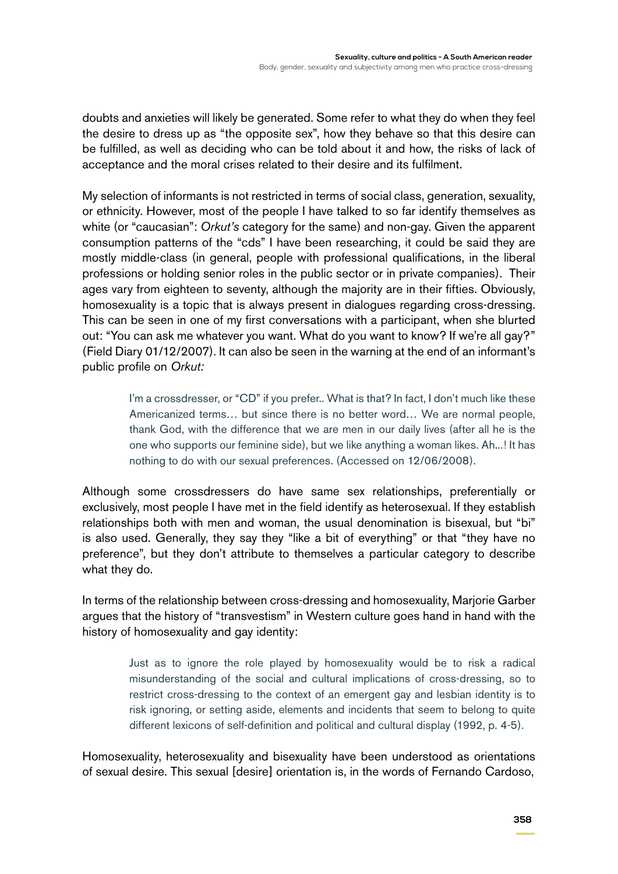doubts and anxieties will likely be generated. Some refer to what they do when they feel the desire to dress up as "the opposite sex", how they behave so that this desire can be fulfilled, as well as deciding who can be told about it and how, the risks of lack of acceptance and the moral crises related to their desire and its fulfilment.

My selection of informants is not restricted in terms of social class, generation, sexuality, or ethnicity. However, most of the people I have talked to so far identify themselves as white (or "caucasian": *Orkut's* category for the same) and non-gay. Given the apparent consumption patterns of the "cds" I have been researching, it could be said they are mostly middle-class (in general, people with professional qualifications, in the liberal professions or holding senior roles in the public sector or in private companies). Their ages vary from eighteen to seventy, although the majority are in their fifties. Obviously, homosexuality is a topic that is always present in dialogues regarding cross-dressing. This can be seen in one of my first conversations with a participant, when she blurted out: "You can ask me whatever you want. What do you want to know? If we're all gay?" (Field Diary 01/12/2007). It can also be seen in the warning at the end of an informant's public profile on *Orkut:*

> I'm a crossdresser, or "CD" if you prefer.. What is that? In fact, I don't much like these Americanized terms… but since there is no better word… We are normal people, thank God, with the difference that we are men in our daily lives (after all he is the one who supports our feminine side), but we like anything a woman likes. Ah...! It has nothing to do with our sexual preferences. (Accessed on 12/06/2008).

Although some crossdressers do have same sex relationships, preferentially or exclusively, most people I have met in the field identify as heterosexual. If they establish relationships both with men and woman, the usual denomination is bisexual, but "bi" is also used. Generally, they say they "like a bit of everything" or that "they have no preference", but they don't attribute to themselves a particular category to describe what they do.

In terms of the relationship between cross-dressing and homosexuality, Marjorie Garber argues that the history of "transvestism" in Western culture goes hand in hand with the history of homosexuality and gay identity:

> Just as to ignore the role played by homosexuality would be to risk a radical misunderstanding of the social and cultural implications of cross-dressing, so to restrict cross-dressing to the context of an emergent gay and lesbian identity is to risk ignoring, or setting aside, elements and incidents that seem to belong to quite different lexicons of self-definition and political and cultural display (1992, p. 4-5).

Homosexuality, heterosexuality and bisexuality have been understood as orientations of sexual desire. This sexual [desire] orientation is, in the words of Fernando Cardoso,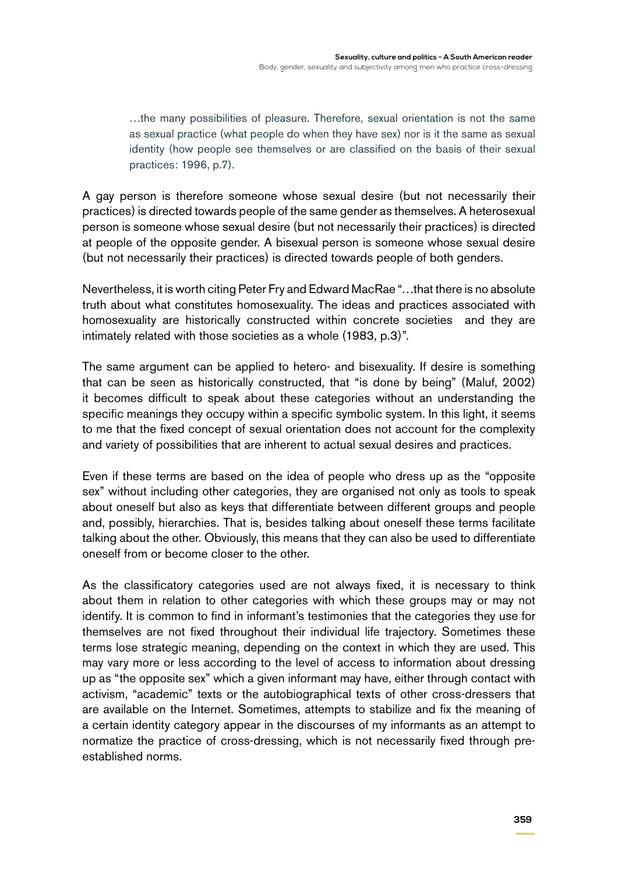…the many possibilities of pleasure. Therefore, sexual orientation is not the same as sexual practice (what people do when they have sex) nor is it the same as sexual identity (how people see themselves or are classified on the basis of their sexual practices: 1996, p.7).

A gay person is therefore someone whose sexual desire (but not necessarily their practices) is directed towards people of the same gender as themselves. A heterosexual person is someone whose sexual desire (but not necessarily their practices) is directed at people of the opposite gender. A bisexual person is someone whose sexual desire (but not necessarily their practices) is directed towards people of both genders.

Nevertheless, it is worth citing Peter Fry and Edward MacRae "…that there is no absolute truth about what constitutes homosexuality. The ideas and practices associated with homosexuality are historically constructed within concrete societies and they are intimately related with those societies as a whole (1983, p.3)".

The same argument can be applied to hetero- and bisexuality. If desire is something that can be seen as historically constructed, that "is done by being" (Maluf, 2002) it becomes difficult to speak about these categories without an understanding the specific meanings they occupy within a specific symbolic system. In this light, it seems to me that the fixed concept of sexual orientation does not account for the complexity and variety of possibilities that are inherent to actual sexual desires and practices.

Even if these terms are based on the idea of people who dress up as the "opposite sex" without including other categories, they are organised not only as tools to speak about oneself but also as keys that differentiate between different groups and people and, possibly, hierarchies. That is, besides talking about oneself these terms facilitate talking about the other. Obviously, this means that they can also be used to differentiate oneself from or become closer to the other.

As the classificatory categories used are not always fixed, it is necessary to think about them in relation to other categories with which these groups may or may not identify. It is common to find in informant's testimonies that the categories they use for themselves are not fixed throughout their individual life trajectory. Sometimes these terms lose strategic meaning, depending on the context in which they are used. This may vary more or less according to the level of access to information about dressing up as "the opposite sex" which a given informant may have, either through contact with activism, "academic" texts or the autobiographical texts of other cross-dressers that are available on the Internet. Sometimes, attempts to stabilize and fix the meaning of a certain identity category appear in the discourses of my informants as an attempt to normatize the practice of cross-dressing, which is not necessarily fixed through preestablished norms.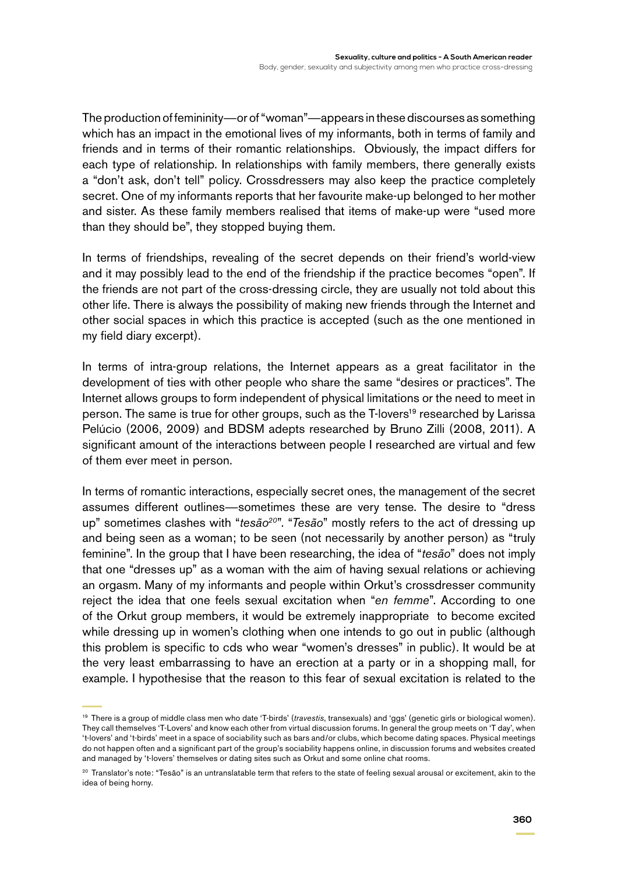The production of femininity—or of "woman"—appears in these discourses as something which has an impact in the emotional lives of my informants, both in terms of family and friends and in terms of their romantic relationships. Obviously, the impact differs for each type of relationship. In relationships with family members, there generally exists a "don't ask, don't tell" policy. Crossdressers may also keep the practice completely secret. One of my informants reports that her favourite make-up belonged to her mother and sister. As these family members realised that items of make-up were "used more than they should be", they stopped buying them.

In terms of friendships, revealing of the secret depends on their friend's world-view and it may possibly lead to the end of the friendship if the practice becomes "open". If the friends are not part of the cross-dressing circle, they are usually not told about this other life. There is always the possibility of making new friends through the Internet and other social spaces in which this practice is accepted (such as the one mentioned in my field diary excerpt).

In terms of intra-group relations, the Internet appears as a great facilitator in the development of ties with other people who share the same "desires or practices". The Internet allows groups to form independent of physical limitations or the need to meet in person. The same is true for other groups, such as the T-lovers<sup>19</sup> researched by Larissa Pelúcio (2006, 2009) and BDSM adepts researched by Bruno Zilli (2008, 2011). A significant amount of the interactions between people I researched are virtual and few of them ever meet in person.

In terms of romantic interactions, especially secret ones, the management of the secret assumes different outlines—sometimes these are very tense. The desire to "dress up" sometimes clashes with "*tesão<sup>20</sup>*". "*Tesão*" mostly refers to the act of dressing up and being seen as a woman; to be seen (not necessarily by another person) as "truly feminine". In the group that I have been researching, the idea of "*tesão*" does not imply that one "dresses up" as a woman with the aim of having sexual relations or achieving an orgasm. Many of my informants and people within Orkut's crossdresser community reject the idea that one feels sexual excitation when "*en femme*". According to one of the Orkut group members, it would be extremely inappropriate to become excited while dressing up in women's clothing when one intends to go out in public (although this problem is specific to cds who wear "women's dresses" in public). It would be at the very least embarrassing to have an erection at a party or in a shopping mall, for example. I hypothesise that the reason to this fear of sexual excitation is related to the

<sup>19</sup> There is a group of middle class men who date 'T-birds' (*travestis*, transexuals) and 'ggs' (genetic girls or biological women). They call themselves 'T-Lovers' and know each other from virtual discussion forums. In general the group meets on 'T day', when 't-lovers' and 't-birds' meet in a space of sociability such as bars and/or clubs, which become dating spaces. Physical meetings do not happen often and a significant part of the group's sociability happens online, in discussion forums and websites created and managed by 't-lovers' themselves or dating sites such as Orkut and some online chat rooms.

<sup>&</sup>lt;sup>20</sup> Translator's note: "Tesão" is an untranslatable term that refers to the state of feeling sexual arousal or excitement, akin to the idea of being horny.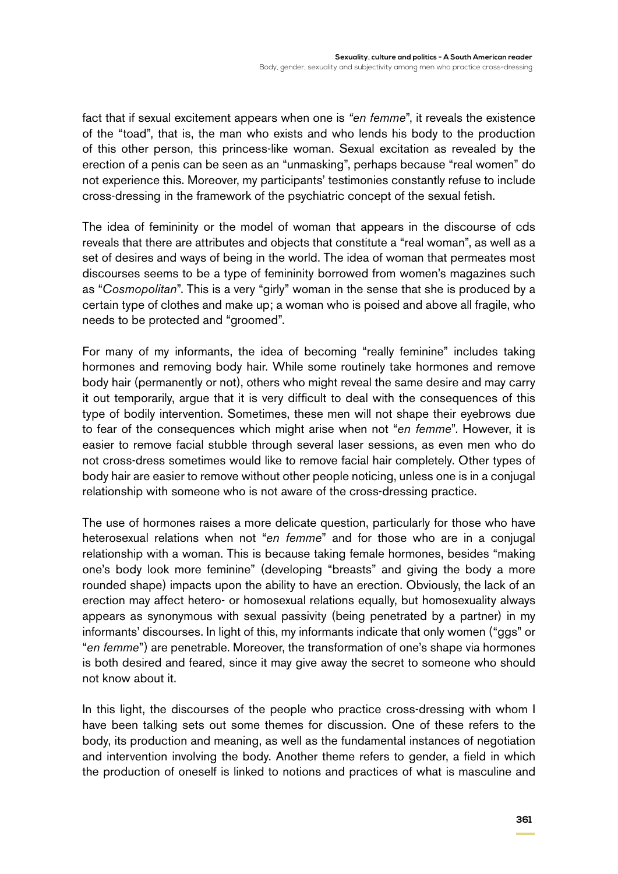fact that if sexual excitement appears when one is *"en femme*", it reveals the existence of the "toad", that is, the man who exists and who lends his body to the production of this other person, this princess-like woman. Sexual excitation as revealed by the erection of a penis can be seen as an "unmasking", perhaps because "real women" do not experience this. Moreover, my participants' testimonies constantly refuse to include cross-dressing in the framework of the psychiatric concept of the sexual fetish.

The idea of femininity or the model of woman that appears in the discourse of cds reveals that there are attributes and objects that constitute a "real woman", as well as a set of desires and ways of being in the world. The idea of woman that permeates most discourses seems to be a type of femininity borrowed from women's magazines such as "*Cosmopolitan*". This is a very "girly" woman in the sense that she is produced by a certain type of clothes and make up; a woman who is poised and above all fragile, who needs to be protected and "groomed".

For many of my informants, the idea of becoming "really feminine" includes taking hormones and removing body hair. While some routinely take hormones and remove body hair (permanently or not), others who might reveal the same desire and may carry it out temporarily, argue that it is very difficult to deal with the consequences of this type of bodily intervention. Sometimes, these men will not shape their eyebrows due to fear of the consequences which might arise when not "*en femme*". However, it is easier to remove facial stubble through several laser sessions, as even men who do not cross-dress sometimes would like to remove facial hair completely. Other types of body hair are easier to remove without other people noticing, unless one is in a conjugal relationship with someone who is not aware of the cross-dressing practice.

The use of hormones raises a more delicate question, particularly for those who have heterosexual relations when not "*en femme*" and for those who are in a conjugal relationship with a woman. This is because taking female hormones, besides "making one's body look more feminine" (developing "breasts" and giving the body a more rounded shape) impacts upon the ability to have an erection. Obviously, the lack of an erection may affect hetero- or homosexual relations equally, but homosexuality always appears as synonymous with sexual passivity (being penetrated by a partner) in my informants' discourses. In light of this, my informants indicate that only women ("ggs" or "*en femme*") are penetrable. Moreover, the transformation of one's shape via hormones is both desired and feared, since it may give away the secret to someone who should not know about it.

In this light, the discourses of the people who practice cross-dressing with whom I have been talking sets out some themes for discussion. One of these refers to the body, its production and meaning, as well as the fundamental instances of negotiation and intervention involving the body. Another theme refers to gender, a field in which the production of oneself is linked to notions and practices of what is masculine and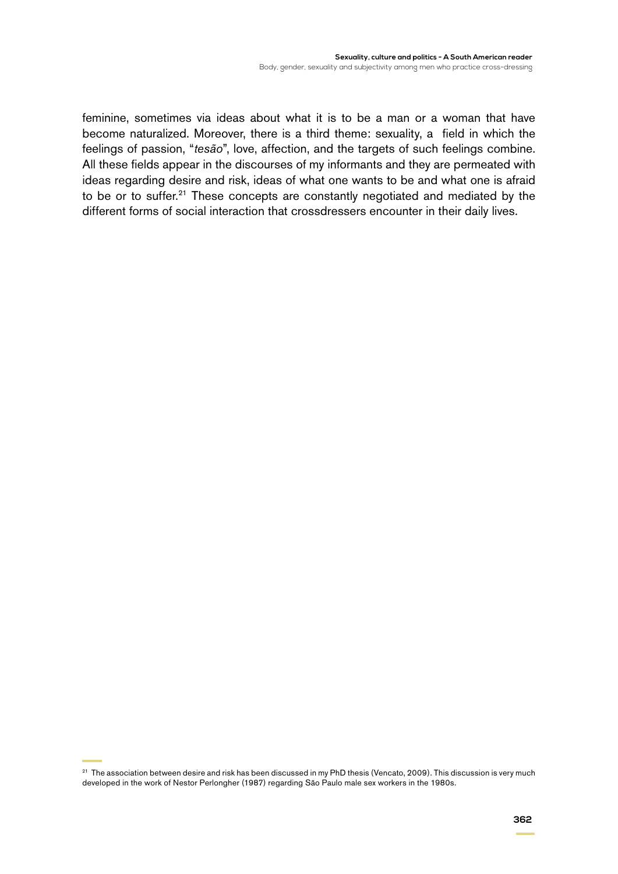feminine, sometimes via ideas about what it is to be a man or a woman that have become naturalized. Moreover, there is a third theme: sexuality, a field in which the feelings of passion, "*tesão*", love, affection, and the targets of such feelings combine. All these fields appear in the discourses of my informants and they are permeated with ideas regarding desire and risk, ideas of what one wants to be and what one is afraid to be or to suffer.<sup>21</sup> These concepts are constantly negotiated and mediated by the different forms of social interaction that crossdressers encounter in their daily lives.

<sup>&</sup>lt;sup>21</sup> The association between desire and risk has been discussed in my PhD thesis (Vencato, 2009). This discussion is very much developed in the work of Nestor Perlongher (1987) regarding São Paulo male sex workers in the 1980s.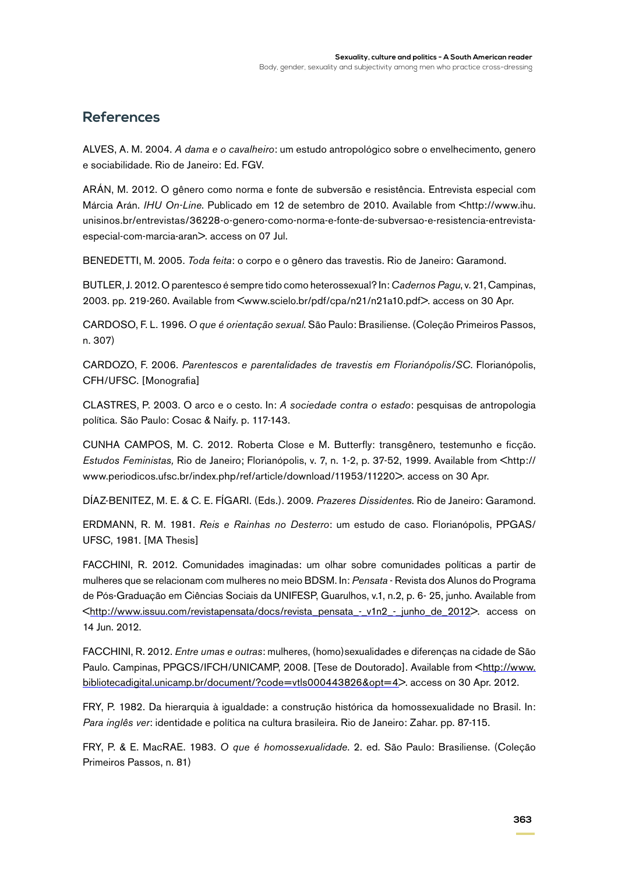### **References**

ALVES, A. M. 2004. *A dama e o cavalheiro*: um estudo antropológico sobre o envelhecimento, genero e sociabilidade. Rio de Janeiro: Ed. FGV.

ARÁN, M. 2012. O gênero como norma e fonte de subversão e resistência. Entrevista especial com Márcia Arán. *IHU On-Line*. Publicado em 12 de setembro de 2010. Available from <http://www.ihu. unisinos.br/entrevistas/36228-o-genero-como-norma-e-fonte-de-subversao-e-resistencia-entrevistaespecial-com-marcia-aran>. access on 07 Jul.

BENEDETTI, M. 2005. *Toda feita*: o corpo e o gênero das travestis. Rio de Janeiro: Garamond.

BUTLER, J. 2012. O parentesco é sempre tido como heterossexual? In: *Cadernos Pagu*, v. 21, Campinas, 2003. pp. 219-260. Available from <www.scielo.br/pdf/cpa/n21/n21a10.pdf>. access on 30 Apr.

CARDOSO, F. L. 1996. *O que é orientação sexual*. São Paulo: Brasiliense. (Coleção Primeiros Passos, n. 307)

CARDOZO, F. 2006. *Parentescos e parentalidades de travestis em Florianópolis/SC*. Florianópolis, CFH/UFSC. [Monografia]

CLASTRES, P. 2003. O arco e o cesto. In: *A sociedade contra o estado*: pesquisas de antropologia política*.* São Paulo: Cosac & Naify. p. 117-143.

CUNHA CAMPOS, M. C. 2012. Roberta Close e M. Butterfly: transgênero, testemunho e ficção. *Estudos Feministas,* Rio de Janeiro; Florianópolis, v. 7, n. 1-2, p. 37-52, 1999. Available from <http:// www.periodicos.ufsc.br/index.php/ref/article/download/11953/11220>. access on 30 Apr.

DÍAZ-BENITEZ, M. E. & C. E. FÍGARI. (Eds.). 2009. *Prazeres Dissidentes*. Rio de Janeiro: Garamond.

ERDMANN, R. M. 1981. *Reis e Rainhas no Desterro*: um estudo de caso. Florianópolis, PPGAS/ UFSC, 1981. [MA Thesis]

FACCHINI, R. 2012. Comunidades imaginadas: um olhar sobre comunidades políticas a partir de mulheres que se relacionam com mulheres no meio BDSM. In: *Pensata* - Revista dos Alunos do Programa de Pós-Graduação em Ciências Sociais da UNIFESP, Guarulhos, v.1, n.2, p. 6- 25, junho. Available from <[http://www.issuu.com/revistapensata/docs/revista\\_pensata\\_-\\_v1n2\\_-\\_junho\\_de\\_2012>](http://www.issuu.com/revistapensata/docs/revista_pensata_-_v1n2_-_junho_de_2012). access on 14 Jun. 2012.

FACCHINI, R. 2012. *Entre umas e outras*: mulheres, (homo)sexualidades e diferenças na cidade de São Paulo. Campinas, PPGCS/IFCH/UNICAMP, 2008. [Tese de Doutorado]. Available from <[http://www.](http://www.bibliotecadigital.unicamp.br/document/?code=vtls000443826&opt=4) [bibliotecadigital.unicamp.br/document/?code=vtls000443826&opt=4](http://www.bibliotecadigital.unicamp.br/document/?code=vtls000443826&opt=4)>. access on 30 Apr. 2012.

FRY, P. 1982. Da hierarquia à igualdade: a construção histórica da homossexualidade no Brasil. In: *Para inglês ver*: identidade e política na cultura brasileira. Rio de Janeiro: Zahar. pp. 87-115.

FRY, P. & E. MacRAE. 1983. *O que é homossexualidade*. 2. ed. São Paulo: Brasiliense. (Coleção Primeiros Passos, n. 81)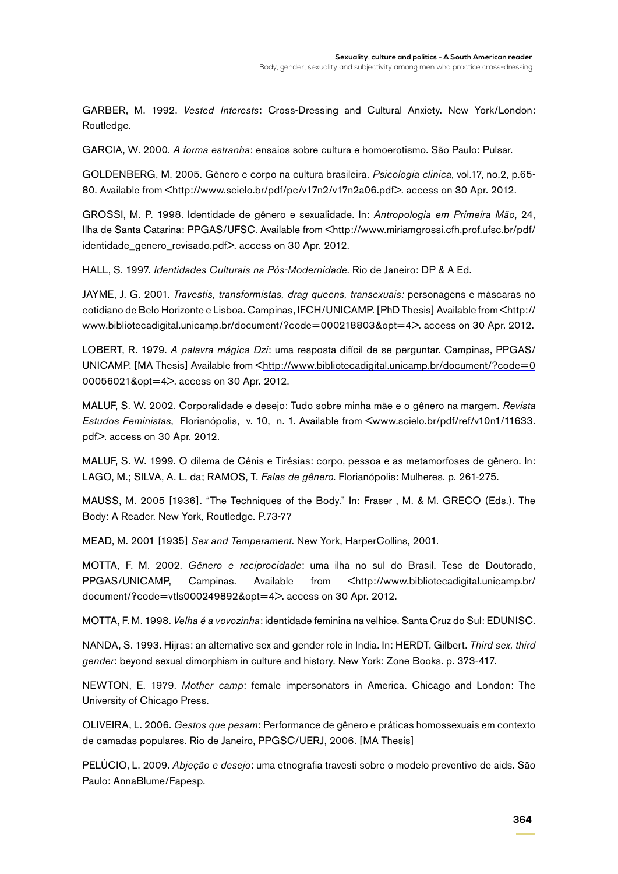GARBER, M. 1992. *Vested Interests*: Cross-Dressing and Cultural Anxiety. New York/London: Routledge.

GARCIA, W. 2000. *A forma estranha*: ensaios sobre cultura e homoerotismo. São Paulo: Pulsar.

GOLDENBERG, M. 2005. Gênero e corpo na cultura brasileira. *Psicologia clinica*, vol.17, no.2, p.65- 80. Available from <http://www.scielo.br/pdf/pc/v17n2/v17n2a06.pdf>. access on 30 Apr. 2012.

GROSSI, M. P. 1998. Identidade de gênero e sexualidade. In: *Antropologia em Primeira Mão*, 24, Ilha de Santa Catarina: PPGAS/UFSC. Available from <http://www.miriamgrossi.cfh.prof.ufsc.br/pdf/ identidade\_genero\_revisado.pdf>. access on 30 Apr. 2012.

HALL, S. 1997. *Identidades Culturais na Pós-Modernidade*. Rio de Janeiro: DP & A Ed.

JAYME, J. G. 2001. *Travestis, transformistas, drag queens, transexuais:* personagens e máscaras no cotidiano de Belo Horizonte e Lisboa. Campinas, IFCH/UNICAMP. [PhD Thesis] Available from <[http://](http://www.bibliotecadigital.unicamp.br/document/?code=000218803&opt=4) [www.bibliotecadigital.unicamp.br/document/?code=000218803&opt=4](http://www.bibliotecadigital.unicamp.br/document/?code=000218803&opt=4)>. access on 30 Apr. 2012.

LOBERT, R. 1979. *A palavra mágica Dzi*: uma resposta difícil de se perguntar. Campinas, PPGAS/ UNICAMP. [MA Thesis] Available from <[http://www.bibliotecadigital.unicamp.br/document/?code=0](http://www.bibliotecadigital.unicamp.br/document/?code=000056021&opt=4) [00056021&opt=4](http://www.bibliotecadigital.unicamp.br/document/?code=000056021&opt=4)>. access on 30 Apr. 2012.

MALUF, S. W. 2002. Corporalidade e desejo: Tudo sobre minha mãe e o gênero na margem. *Revista Estudos Feministas*, Florianópolis, v. 10, n. 1. Available from <www.scielo.br/pdf/ref/v10n1/11633. pdf>. access on 30 Apr. 2012.

MALUF, S. W. 1999. O dilema de Cênis e Tirésias: corpo, pessoa e as metamorfoses de gênero. In: LAGO, M.; SILVA, A. L. da; RAMOS, T. *Falas de gênero*. Florianópolis: Mulheres. p. 261-275.

MAUSS, M. 2005 [1936]. "The Techniques of the Body." In: Fraser , M. & M. GRECO (Eds.). The Body: A Reader. New York, Routledge. P.73-77

MEAD, M. 2001 [1935] *Sex and Temperament*. New York, HarperCollins, 2001.

MOTTA, F. M. 2002. *Gênero e reciprocidade*: uma ilha no sul do Brasil. Tese de Doutorado, PPGAS/UNICAMP, Campinas. Available from [<http://www.bibliotecadigital.unicamp.br/](http://www.bibliotecadigital.unicamp.br/document/?code=vtls000249892&opt=4) [document/?code=vtls000249892&opt=4](http://www.bibliotecadigital.unicamp.br/document/?code=vtls000249892&opt=4)>. access on 30 Apr. 2012.

MOTTA, F. M. 1998. *Velha é a vovozinha*: identidade feminina na velhice. Santa Cruz do Sul: EDUNISC.

NANDA, S. 1993. Hijras: an alternative sex and gender role in India. In: HERDT, Gilbert. *Third sex, third gender*: beyond sexual dimorphism in culture and history. New York: Zone Books. p. 373-417.

NEWTON, E. 1979. *Mother camp*: female impersonators in America. Chicago and London: The University of Chicago Press.

OLIVEIRA, L. 2006. *Gestos que pesam*: Performance de gênero e práticas homossexuais em contexto de camadas populares. Rio de Janeiro, PPGSC/UERJ, 2006. [MA Thesis]

PELÚCIO, L. 2009. *Abjeção e desejo*: uma etnografia travesti sobre o modelo preventivo de aids. São Paulo: AnnaBlume/Fapesp.